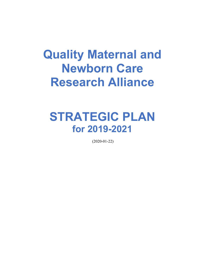# **Quality Maternal and Newborn Care Research Alliance**

# **STRATEGIC PLAN for 2019-2021**

(2020-01-22)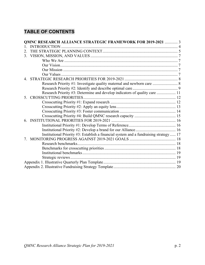# **TABLE OF CONTENTS**

|                         | <b>QMNC RESEARCH ALLIANCE STRATEGIC FRAMEWORK FOR 2019-2021  3</b>                    |  |  |  |
|-------------------------|---------------------------------------------------------------------------------------|--|--|--|
|                         |                                                                                       |  |  |  |
| $\mathfrak{D}_{\alpha}$ |                                                                                       |  |  |  |
| $3_{-}$                 |                                                                                       |  |  |  |
|                         |                                                                                       |  |  |  |
|                         |                                                                                       |  |  |  |
|                         |                                                                                       |  |  |  |
|                         |                                                                                       |  |  |  |
|                         |                                                                                       |  |  |  |
|                         | Research Priority #1: Investigate quality maternal and newborn care  8                |  |  |  |
|                         |                                                                                       |  |  |  |
|                         | Research Priority #3: Determine and develop indicators of quality care  11            |  |  |  |
| $\sim$                  |                                                                                       |  |  |  |
|                         |                                                                                       |  |  |  |
|                         |                                                                                       |  |  |  |
|                         |                                                                                       |  |  |  |
|                         |                                                                                       |  |  |  |
|                         |                                                                                       |  |  |  |
|                         |                                                                                       |  |  |  |
|                         |                                                                                       |  |  |  |
|                         | Institutional Priority #3: Establish a financial system and a fundraising strategy 17 |  |  |  |
|                         |                                                                                       |  |  |  |
|                         |                                                                                       |  |  |  |
|                         |                                                                                       |  |  |  |
|                         |                                                                                       |  |  |  |
|                         |                                                                                       |  |  |  |
|                         |                                                                                       |  |  |  |
|                         |                                                                                       |  |  |  |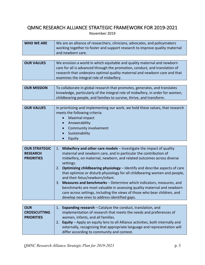# QMNC RESEARCH ALLIANCE STRATEGIC FRAMEWORK FOR 2019-2021

November 2019

| <b>WHO WE ARE</b> | We are an alliance of researchers, clinicians, advocates, and policymakers  |  |  |
|-------------------|-----------------------------------------------------------------------------|--|--|
|                   | working together to foster and support research to improve quality maternal |  |  |
|                   | and newborn care.                                                           |  |  |

| <b>OUR VALUES</b>                                                           | We envision a world in which equitable and quality maternal and newborn    |  |  |  |  |
|-----------------------------------------------------------------------------|----------------------------------------------------------------------------|--|--|--|--|
| care for all is advanced through the promotion, conduct, and translation of |                                                                            |  |  |  |  |
|                                                                             | research that underpins optimal quality maternal and newborn care and that |  |  |  |  |
|                                                                             | examines the integral role of midwifery.                                   |  |  |  |  |

| <b>OUR MISSION</b> | To collaborate in global research that promotes, generates, and translates     |
|--------------------|--------------------------------------------------------------------------------|
|                    | knowledge, particularly of the integral role of midwifery, in order for women, |
|                    | childbearing people, and families to survive, thrive, and transform.           |

| <b>OUR VALUES</b> | In prioritizing and implementing our work, we hold these values, that research<br>meets the following criteria: |  |  |  |  |
|-------------------|-----------------------------------------------------------------------------------------------------------------|--|--|--|--|
|                   | Maximal impact                                                                                                  |  |  |  |  |
|                   | Answerability                                                                                                   |  |  |  |  |
|                   | Community involvement                                                                                           |  |  |  |  |
|                   | Sustainability                                                                                                  |  |  |  |  |
|                   | Equity                                                                                                          |  |  |  |  |

| <b>OUR STRATEGIC</b> | 1. Midwifery and other care models – Investigate the impact of quality                                        |  |  |  |
|----------------------|---------------------------------------------------------------------------------------------------------------|--|--|--|
| <b>RESEARCH</b>      | maternal and newborn care, and in particular the contribution of                                              |  |  |  |
| <b>PRIORITIES</b>    | midwifery, on maternal, newborn, and related outcomes across diverse<br>settings.                             |  |  |  |
|                      | <b>Optimizing childbearing physiology</b> – Identify and describe aspects of care<br>2.                       |  |  |  |
|                      | that optimize or disturb physiology for all childbearing women and people,<br>and their fetus/newborn/infant. |  |  |  |
|                      | 3. Measures and benchmarks - Determine which indicators, measures, and                                        |  |  |  |
|                      | benchmarks are most valuable in assessing quality maternal and newborn                                        |  |  |  |
|                      | care across settings, including the views of those who bear children, and                                     |  |  |  |
|                      | develop new ones to address identified gaps.                                                                  |  |  |  |

| 1. Expanding research - Catalyze the conduct, translation, and                   |  |  |  |  |
|----------------------------------------------------------------------------------|--|--|--|--|
| implementation of research that meets the needs and preferences of               |  |  |  |  |
| women, infants, and all families.                                                |  |  |  |  |
| 2. Equity - Apply an equity lens to all Alliance activities, both internally and |  |  |  |  |
| externally, recognizing that appropriate language and representation will        |  |  |  |  |
| differ according to community and context.                                       |  |  |  |  |
|                                                                                  |  |  |  |  |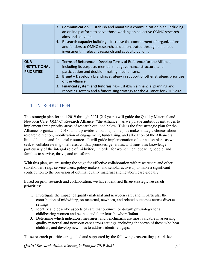| 3. Communication – Establish and maintain a communication plan, including<br>an online platform to serve those working on collective QMNC research<br>aims and activities.<br><b>Research capacity building - Increase the commitment of organizations</b><br>4.<br>and funders to QMNC research, as demonstrated through enhanced<br>investment in relevant research and capacity building. |
|----------------------------------------------------------------------------------------------------------------------------------------------------------------------------------------------------------------------------------------------------------------------------------------------------------------------------------------------------------------------------------------------|
|                                                                                                                                                                                                                                                                                                                                                                                              |

| <b>OUR</b>           | 1. Terms of Reference – Develop Terms of Reference for the Alliance,                      |  |  |  |  |
|----------------------|-------------------------------------------------------------------------------------------|--|--|--|--|
| <b>INSTITUTIONAL</b> | including its purpose, membership, governance structure, and                              |  |  |  |  |
| <b>PRIORITIES</b>    | participation and decision-making mechanisms.                                             |  |  |  |  |
|                      | <b>Brand</b> – Develop a branding strategy in support of other strategic priorities<br>2. |  |  |  |  |
|                      | of the Alliance.                                                                          |  |  |  |  |
|                      | Financial system and fundraising – Establish a financial planning and<br>3.               |  |  |  |  |
|                      | reporting system and a fundraising strategy for the Alliance for 2019-2021                |  |  |  |  |

# 1. INTRODUCTION

This strategic plan for mid-2019 through 2021 (2.5 years) will guide the Quality Maternal and Newborn Care (QMNC) Research Alliance ("the Alliance") as we pursue ambitious initiatives to implement three priority areas of research outlined below. This is the first strategic plan for the Alliance, organized in 2018, and it provides a roadmap to help us make strategic choices about research direction, mobilization of engagement, fundraising, and allocation of the Alliance's limited human and financial resources. It will guide implementation of our action plans as we seek to collaborate in global research that promotes, generates, and translates knowledge, particularly of the integral role of midwifery, in order for women, childbearing people, and families to survive, thrive, and transform.

With this plan, we are setting the stage for effective collaboration with researchers and other stakeholders (e.g., service users, policy makers, and scholar activists) to make a significant contribution to the provision of optimal quality maternal and newborn care globally.

Based on prior research and collaboration, we have identified **three strategic research priorities**:

- 1. Investigate the impact of quality maternal and newborn care, and in particular the contribution of midwifery, on maternal, newborn, and related outcomes across diverse settings.
- 2. Identify and describe aspects of care that optimize or disturb physiology for all childbearing women and people, and their fetus/newborn/infant.
- 3. Determine which indicators, measures, and benchmarks are most valuable in assessing quality maternal and newborn care across settings, including the views of those who bear children, and develop new ones to address identified gaps.

These research priorities are guided and supported by the following **crosscutting priorities**:

*QMNC Research Alliance Strategic Plan for 2019-2021* p. 4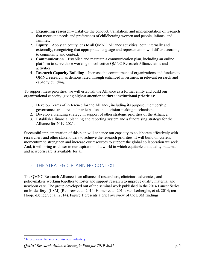- 1. **Expanding research** Catalyze the conduct, translation, and implementation of research that meets the needs and preferences of childbearing women and people, infants, and families.
- 2. **Equity**  Apply an equity lens to all QMNC Alliance activities, both internally and externally, recognizing that appropriate language and representation will differ according to community and context.
- 3. **Communication** Establish and maintain a communication plan, including an online platform to serve those working on collective QMNC Research Alliance aims and activities.
- 4. **Research Capacity Building** Increase the commitment of organizations and funders to QMNC research, as demonstrated through enhanced investment in relevant research and capacity building.

To support these priorities, we will establish the Alliance as a formal entity and build our organizational capacity, giving highest attention to **three institutional priorities**:

- 1. Develop Terms of Reference for the Alliance, including its purpose, membership, governance structure, and participation and decision-making mechanisms.
- 2. Develop a branding strategy in support of other strategic priorities of the Alliance.
- 3. Establish a financial planning and reporting system and a fundraising strategy for the Alliance for 2019-2021.

Successful implementation of this plan will enhance our capacity to collaborate effectively with researchers and other stakeholders to achieve the research priorities. It will build on current momentum to strengthen and increase our resources to support the global collaboration we seek. And, it will bring us closer to our aspiration of a world in which equitable and quality maternal and newborn care is available for all.

# 2. THE STRATEGIC PLANNING CONTEXT

The QMNC Research Alliance is an alliance of researchers, clinicians, advocates, and policymakers working together to foster and support research to improve quality maternal and newborn care. The group developed out of the seminal work published in the 2014 Lancet Series on Midwifery1 (LSM) (Renfrew et al, 2014; Homer et al, 2014; van Lerberghe, et al, 2014; ten Hoope-Bender, et al, 2014). Figure 1 presents a brief overview of the LSM findings.

<sup>1</sup> https://www.thelancet.com/series/midwifery

*QMNC Research Alliance Strategic Plan for 2019-2021* p. 5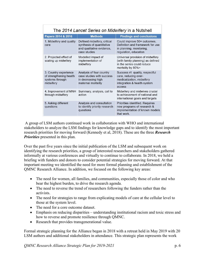| The 2014 Lancet Series on Midwifery in a Nutshell                                |                                                                                                       |                                                                                                                               |  |
|----------------------------------------------------------------------------------|-------------------------------------------------------------------------------------------------------|-------------------------------------------------------------------------------------------------------------------------------|--|
| Papers 2014 & 2016                                                               | <b>Methods</b>                                                                                        | <b>Findings and conclusions</b>                                                                                               |  |
| 1. Midwifery and quality<br>care                                                 | Defined midwifery, critical<br>synthesis of quantitative<br>and qualitative evidence,<br>case studies | Could improve 50+ outcomes.<br>Definition and framework for use<br>in planning, monitoring,<br>regulation, education          |  |
| 2. Projected effect of<br>scaling up midwifery                                   | Modelled impact of<br>implementation of<br>midwifery                                                  | Universal provision of midwifery<br>(with family planning) as defined<br>in the series could reduce<br>mortality by 80%+      |  |
| 3. Country experience<br>of strengthening health<br>systems through<br>midwifery | Analysis of four country<br>case studies with success<br>in decreasing high<br>maternal mortality     | Success r/t quality, respectful<br>care, reducing over-<br>medicalization, midwifery<br>integration & health system<br>access |  |
| 4. Improvement of MNH<br>through midwifery                                       | Summary, analysis, call to<br>action                                                                  | Midwifery and midwives crucial<br>to achievement of national and<br>international goals and targets                           |  |
| 5. Asking different<br>questions                                                 | Analysis and consultation<br>to identify priority research<br>questions                               | Priorities identified. Requires<br>new programs of research &<br>implementation of known models<br>that work.                 |  |

A group of LSM authors continued work in collaboration with WHO and international stakeholders to analyze the LSM findings for knowledge gaps and to identify the most important research priorities for moving forward (Kennedy et al, 2018). These are the three *Research Priorities* presented in this plan.

Over the past five years since the initial publication of the LSM and subsequent work on identifying the research priorities, a group of interested researchers and stakeholders gathered informally at various conferences and virtually to continue to collaborate. In 2018, we held a briefing with funders and donors to consider potential strategies for moving forward. At that important meeting we identified the need for more formal planning and establishment of the QMNC Research Alliance. In addition, we focused on the following key areas:

- The need for women, all families, and communities, especially those of color and who bear the highest burden, to drive the research agenda.
- The need to reverse the trend of researchers following the funders rather than the activists.
- The need for strategies to range from explicating models of care at the cellular level to those at the system level.
- The need for a core outcome dataset.

- Emphasis on reducing disparities understanding institutional racism and toxic stress and how to reverse and promote resilience through QMNC.
- Research that provides transgenerational value.

Formal strategic planning for the Alliance began in 2018 with a retreat held in May 2019 with 20 LSM authors and additional stakeholders in attendance. This strategic plan represents the work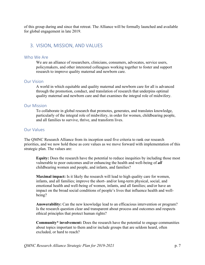of this group during and since that retreat. The Alliance will be formally launched and available for global engagement in late 2019.

### 3. VISION, MISSION, AND VALUES

#### Who We Are

We are an alliance of researchers, clinicians, consumers, advocates, service users, policymakers, and other interested colleagues working together to foster and support research to improve quality maternal and newborn care.

#### Our Vision

A world in which equitable and quality maternal and newborn care for all is advanced through the promotion, conduct, and translation of research that underpins optimal quality maternal and newborn care and that examines the integral role of midwifery.

#### Our Mission

To collaborate in global research that promotes, generates, and translates knowledge, particularly of the integral role of midwifery, in order for women, childbearing people, and all families to survive, thrive, and transform lives.

#### Our Values

The QMNC Research Alliance from its inception used five criteria to rank our research priorities, and we now hold these as core values as we move forward with implementation of this strategic plan. The values are:

**Equity:** Does the research have the potential to reduce inequities by including those most vulnerable to poor outcomes and/or enhancing the health and well-being of *all* childbearing women and people, and infants, and families?

**Maximal impact:** Is it likely the research will lead to high quality care for women, infants, and all families; improve the short- and/or long-term physical, social, and emotional health and well-being of women, infants, and all families; and/or have an impact on the broad social conditions of people's lives that influence health and wellbeing?

**Answerability:** Can the new knowledge lead to an efficacious intervention or program? Is the research question clear and transparent about process and outcomes and respects ethical principles that protect human rights?

**Community\* involvement:** Does the research have the potential to engage communities about topics important to them and/or include groups that are seldom heard, often excluded, or hard to reach?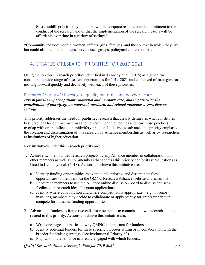**Sustainability:** Is it likely that there will be adequate resources and commitment to the conduct of the research and/or that the implementation of the research results will be affordable over time in a variety of settings?

\*Community includes people, women, infants, girls, families, and the context in which they live, but could also include clinicians, service user groups, policymakers, and others.

# 4. STRATEGIC RESEARCH PRIORITIES FOR 2019-2021

Using the top three research priorities identified in Kennedy et al. (2018) as a guide, we considered a wide range of research opportunities for 2019-2021 and conceived of strategies for moving forward quickly and decisively with each of these priorities.

#### Research Priority #1: Investigate quality maternal and newborn care

*Investigate the impact of quality maternal and newborn care, and in particular the contribution of midwifery, on maternal, newborn, and related outcomes across diverse settings.* 

This priority addresses the need for published research that clearly delineates what constitutes best practices for optimal maternal and newborn health outcomes and how those practices overlap with or are reflected in midwifery practice. Initiatives to advance this priority emphasize the creation and dissemination of this research by Alliance membership as well as by researchers at institutions of higher education.

**Key initiatives** under this research priority are:

- 1. Achieve two new funded research projects by any Alliance member in collaboration with other members as well as non-members that address this priority and/or its sub-questions as listed in Kennedy et al. (2018). Actions to achieve this initiative are:
	- a. Identify funding opportunities relevant to this priority, and disseminate these opportunities to members via the QMNC Research Alliance website and email list.
	- b. Encourage members to use the Alliance online discussion board to discuss and seek feedback on research ideas for grant applications.
	- c. Identify where collaboration and where competition is appropriate  $-e.g.,$  in some instances, members may decide to collaborate or apply jointly for grants rather than compete for the same funding opportunities.
- 2. Advocate to funders to frame two calls for research or to commission two research studies related to this priority. Actions to achieve this initiative are:
	- a. Write one-page summaries of why QMNC is important for funders.
	- b. Identify potential funders for these specific purposes within or in collaboration with the broader fundraising strategy (see Institutional Priority #3).
	- c. Map who in the Alliance is already engaged with which funders.

*QMNC Research Alliance Strategic Plan for 2019-2021* p. 8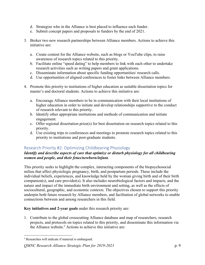- d. Strategize who in the Alliance is best placed to influence each funder.
- e. Submit concept papers and proposals to funders by the end of 2021.
- 3. Broker two new research partnerships between Alliance members. Actions to achieve this initiative are:
	- a. Create content for the Alliance website, such as blogs or YouTube clips, to raise awareness of research topics related to this priority.
	- b. Facilitate online "speed dating" to help members to link with each other to undertake research activities such as writing papers and grant applications.
	- c. Disseminate information about specific funding opportunities/ research calls.
	- d. Use opportunities of aligned conferences to foster links between Alliance members.
- 4. Promote this priority to institutions of higher education as suitable dissertation topics for master's and doctoral students. Actions to achieve this initiative are:
	- a. Encourage Alliance members to be in communication with their local institutions of higher education in order to initiate and develop relationships supportive to the conduct of research relevant to this priority.
	- b. Identify other appropriate institutions and methods of communication and initiate engagement.
	- c. Offer regional dissertation prize(s) for best dissertation on research topics related to this priority.
	- d. Use existing trips to conferences and meetings to promote research topics related to this priority to institutions and post-graduate students.

#### Research Priority #2: Optimizing Childbearing Physiology

#### *Identify and describe aspects of care that optimize or disturb physiology for all childbearing women and people, and their fetus/newborn/infant.*

This priority seeks to highlight the complex, interacting components of the biopsychosocial milieu that affect physiologic pregnancy, birth, and postpartum periods. These include the individual beliefs, experiences, and knowledge held by the woman giving birth and of their birth companion(s), and care provider(s). It also includes neurobiological factors and impacts, and the nature and impact of the immediate birth environment and setting, as well as the effects of sociocultural, geographic, and economic contexts. The objectives chosen to support this priority underpin both future research by Alliance members, and facilitation of global networks to enable connections between and among researchers in this field.

#### **Key initiatives and 2-year goals** under this research priority are:

1. Contribute to the global crosscutting Alliance database and map of researchers, research projects, and protocols on topics related to this priority, and disseminate this information via the Alliance website.<sup>2</sup> Actions to achieve this initiative are:

#### *QMNC Research Alliance Strategic Plan for 2019-2021* p. 9

<sup>2</sup> Researches will indicate if material is embargoed.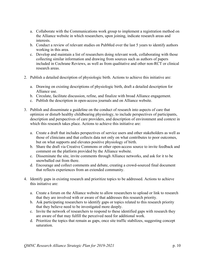- a. Collaborate with the Communications work group to implement a registration method on the Alliance website in which researchers, upon joining, indicate research areas and interests.
- b. Conduct a review of relevant studies on PubMed over the last 5 years to identify authors working in this area.
- c. Develop and maintain a list of researchers doing relevant work, collaborating with those collecting similar information and drawing from sources such as authors of papers included in Cochrane Reviews, as well as from qualitative and other non-RCT or clinical research areas.
- 2. Publish a detailed description of physiologic birth. Actions to achieve this initiative are:
	- a. Drawing on existing descriptions of physiologic birth, draft a detailed description for Alliance use.
	- b. Circulate, facilitate discussion, refine, and finalize with broad Alliance engagement.
	- c. Publish the description in open-access journals and on Alliance website.
- 3. Publish and disseminate a guideline on the conduct of research into aspects of care that optimize or disturb healthy childbearing physiology, to include perspectives of participants, description and perspectives of care providers, and description of environment and context in which this research takes place. Actions to achieve this initiative are:
	- a. Create a draft that includes perspectives of service users and other stakeholders as well as those of clinicians and that collects data not only on what contributes to poor outcomes, but on what supports and elevates positive physiology of birth.
	- b. Share the draft via Creative Commons or other open-access source to invite feedback and comment on the platform provided by the Alliance website.
	- c. Disseminate the site, invite comments through Alliance networks, and ask for it to be snowballed out from there.
	- d. Encourage and collect comments and debate, creating a crowd-sourced final document that reflects experiences from an extended community.
- 4. Identify gaps in existing research and prioritize topics to be addressed. Actions to achieve this initiative are:
	- a. Create a forum on the Alliance website to allow researchers to upload or link to research that they are involved with or aware of that addresses this research priority.
	- b. Ask participating researchers to identify gaps or topics related to this research priority that they believe need to be investigated more deeply.
	- c. Invite the network of researchers to respond to these identified gaps with research they are aware of that may fulfill the perceived need for additional work.
	- d. Prioritize the topics that remain as gaps, once site traffic stabilizes, suggesting concept saturation.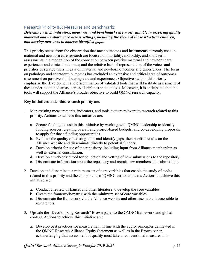#### Research Priority #3: Measures and Benchmarks

#### *Determine which indicators, measures, and benchmarks are most valuable in assessing quality maternal and newborn care across settings, including the views of those who bear children, and develop new ones to address identified gaps.*

This priority stems from the observation that most outcomes and instruments currently used in maternal and newborn care research are focused on mortality, morbidity, and short-term assessments; the recognition of the connection between positive maternal and newborn care experiences and clinical outcomes; and the relative lack of representation of the voices and priorities of service users in data on maternal and newborn outcomes and experiences. The focus on pathology and short-term outcomes has excluded an extensive and critical area of outcomes assessment on positive childbearing care and experiences. Objectives within this priority emphasize the development and dissemination of validated tools that will facilitate assessment of these under-examined areas, across disciplines and contexts. Moreover, it is anticipated that the tools will support the Alliance's broader objective to build QMNC research capacity.

**Key initiatives** under this research priority are:

- 1. Map existing measurements, indicators, and tools that are relevant to research related to this priority. Actions to achieve this initiative are:
	- a. Secure funding to sustain this initiative by working with QMNC leadership to identify funding sources, creating overall and project-based budgets, and co-developing proposals to apply for those funding opportunities.
	- b. Evaluate the quality of existing tools and identify gaps, then publish results on the Alliance website and disseminate directly to potential funders.
	- c. Develop criteria for use of the repository, including input from Alliance membership as well as external consultation.
	- d. Develop a web-based tool for collection and vetting of new submissions to the repository.
	- e. Disseminate information about the repository and recruit new members and submissions.
- 2. Develop and disseminate a minimum set of core variables that enable the study of topics related to this priority and the components of QMNC across contexts. Actions to achieve this initiative are:
	- a. Conduct a review of Lancet and other literature to develop the core variables.
	- b. Create the framework/matrix with the minimum set of core variables.
	- c. Disseminate the framework via the Alliance website and otherwise make it accessible to researchers.
- 3. Upscale the "Decolonizing Research" Brown paper to the QMNC framework and global context. Actions to achieve this initiative are:
	- a. Develop best practices for measurement in line with the equity principles delineated in the QMNC Research Alliance Equity Statement as well as in the Brown paper, acknowledging that assessment of quality must take unconventional measures into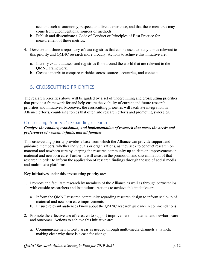account such as autonomy, respect, and lived experience, and that these measures may come from unconventional sources or methods.

- b. Publish and disseminate a Code of Conduct or Principles of Best Practice for measurement of these metrics.
- 4. Develop and share a repository of data registries that can be used to study topics relevant to this priority and QMNC research more broadly. Actions to achieve this initiative are:
	- a. Identify extant datasets and registries from around the world that are relevant to the QMNC framework.
	- b. Create a matrix to compare variables across sources, countries, and contexts.

## 5. CROSSCUTTING PRIORITIES

The research priorities above will be guided by a set of underpinning and crosscutting priorities that provide a framework for and help ensure the viability of current and future research priorities and initiatives. Moreover, the crosscutting priorities will facilitate integration in Alliance efforts, countering forces that often silo research efforts and promoting synergies.

#### Crosscutting Priority #1: Expanding research

#### *Catalyze the conduct, translation, and implementation of research that meets the needs and preferences of women, infants, and all families.*

This crosscutting priority provides a base from which the Alliance can provide support and guidance members, whether individuals or organizations, as they seek to conduct research on maternal and newborn care by keeping the research community up-to-date on improvements in maternal and newborn care. Further, it will assist in the promotion and dissemination of that research in order to inform the application of research findings through the use of social media and multimedia platforms.

**Key initiatives** under this crosscutting priority are:

- 1. Promote and facilitate research by members of the Alliance as well as through partnerships with outside researchers and institutions. Actions to achieve this initiative are:
	- a. Inform the QMNC research community regarding research design to inform scale-up of maternal and newborn care improvements
	- b. Ensure relevant audiences know about the QMNC research guidance recommendations
- 2. Promote the effective use of research to support improvement in maternal and newborn care and outcomes. Actions to achieve this initiative are:
	- a. Communicate new priority areas as needed through multi-media channels at launch, making clear why there is a case for change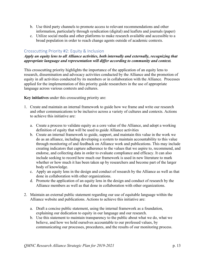- b. Use third party channels to promote access to relevant recommendations and other information, particularly through syndication (digital) and leaflets and journals (paper)
- c. Utilize social media and other platforms to make research available and accessible to a broad population in order to reach change agents outside of academic contexts.

#### Crosscutting Priority #2: Equity & Inclusion

#### *Apply an equity lens to all Alliance activities, both internally and externally, recognizing that appropriate language and representation will differ according to community and context.*

This crosscutting priority highlights the importance of the application of an equity lens to research, dissemination and advocacy activities conducted by the Alliance and the promotion of equity in all activities conducted by its members or in collaboration with the Alliance. Processes applied for the implementation of this priority guide researchers in the use of appropriate language across various contexts and cultures.

**Key initiatives** under this crosscutting priority are:

- 1. Create and maintain an internal framework to guide how we frame and write our research and other communications to be inclusive across a variety of cultures and contexts. Actions to achieve this initiative are:
	- a. Create a process to validate equity as a core value of the Alliance, and adopt a working definition of equity that will be used to guide Alliance activities
	- b. Create an internal framework to guide, support, and maintain this value in the work we do as an alliance, including developing a system to maintain accountability to this value through monitoring of and feedback on Alliance work and publications. This may include creating indicators that capture adherence to the values that we aspire to, recommend, and endorse, and collecting data in order to evaluate compliance and efficacy. It can also include seeking to record how much our framework is used in new literature to mark whether or how much it has been taken up by researchers and become part of the larger body of knowledge.
	- c. Apply an equity lens in the design and conduct of research by the Alliance as well as that done in collaboration with other organizations.
	- d. Promote the application of an equity lens in the design and conduct of research by the Alliance members as well as that done in collaboration with other organizations.
- 2. Maintain an external public statement regarding our use of equitable language within the Alliance website and publications. Actions to achieve this initiative are:
	- a. Draft a concise public statement, using the internal framework as a foundation, explaining our dedication to equity in our language and our research.
	- b. Use this statement to maintain transparency to the public about what we do, what we believe, and how we hold ourselves accountable to our professed values, by communicating our processes, procedures, and the results of our monitoring process.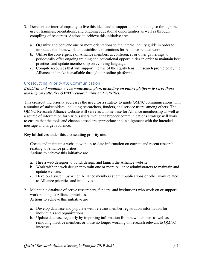- 3. Develop our internal capacity to live this ideal and to support others in doing so through the use of trainings, orientations, and ongoing educational opportunities as well as through compiling of resources. Actions to achieve this initiative are:
	- a. Organize and convene one or more orientations to the internal equity guide in order to introduce the framework and establish expectations for Alliance-related work.
	- b. Utilize the convergence of Alliance members at conferences or other gatherings to periodically offer ongoing training and educational opportunities in order to maintain best practices and update membership on evolving language.
	- c. Compile resources that will support the use of the equity lens in research promoted by the Alliance and make it available through our online platforms.

#### Crosscutting Priority #3: Communication

#### *Establish and maintain a communication plan, including an online platform to serve those working on collective QMNC research aims and activities.*

This crosscutting priority addresses the need for a strategy to guide QMNC communications with a number of stakeholders, including researchers, funders, and service users, among others. The QMNC Research Alliance website will serve as a home base for Alliance membership as well as a source of information for various users, while the broader communications strategy will work to ensure that the tools and channels used are appropriate and in alignment with the intended message and target audience.

**Key initiatives** under this crosscutting priority are:

- 1. Create and maintain a website with up-to-date information on current and recent research relating to Alliance priorities. Actions to achieve this initiative are
	- a. Hire a web designer to build, design, and launch the Alliance website.
	- b. Work with the web designer to train one or more Alliance administrators to maintain and update website.
	- c. Develop a system by which Alliance members submit publications or other work related to Alliance priorities and initiatives.
- 2. Maintain a database of active researchers, funders, and institutions who work on or support work relating to Alliance priorities. Actions to achieve this initiative are
	- a. Develop database and populate with relevant member registration information for individuals and organizations.
	- b. Update database regularly by importing information from new members as well as removing inactive members or those no longer working on research relevant to QMNC interests.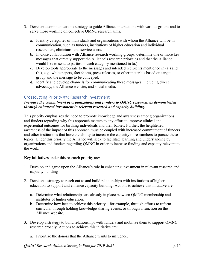- 3. Develop a communications strategy to guide Alliance interactions with various groups and to serve those working on collective QMNC research aims.
	- a. Identify categories of individuals and organizations with whom the Alliance will be in communication, such as funders, institutions of higher education and individual researchers, clinicians, and service users.
	- b. In close collaboration with Alliance research working groups, determine one or more key messages that directly support the Alliance's research priorities and that the Alliance would like to send to parties in each category mentioned in (a.)
	- c. Develop tools appropriate to the messages and intended recipients mentioned in (a.) and (b.), e.g., white papers, fact sheets, press releases, or other materials based on target group and the message to be conveyed.
	- d. Identify and develop channels for communicating these messages, including direct advocacy, the Alliance website, and social media.

#### Crosscutting Priority #4: Research investment

#### *Increase the commitment of organizations and funders to QMNC research, as demonstrated through enhanced investment in relevant research and capacity building.*

This priority emphasizes the need to promote knowledge and awareness among organizations and funders regarding why this approach matters to any effort to improve clinical and experiential outcomes for birthing individuals and their babies. Further, the heightened awareness of the impact of this approach must be coupled with increased commitment of funders and other institutions that have the ability to increase the capacity of researchers to pursue these topics. Under this priority the Alliance will seek to facilitate learning and understanding by organizations and funders regarding QMNC in order to increase funding and capacity relevant to the work.

**Key initiatives** under this research priority are:

- 1. Develop and agree upon the Alliance's role in enhancing investment in relevant research and capacity building
- 2. Develop a strategy to reach out to and build relationships with institutions of higher education to support and enhance capacity building. Actions to achieve this initiative are:
	- a. Determine what relationships are already in place between QMNC membership and institutes of higher education.
	- b. Determine how best to achieve this priority for example, through efforts to reform curricula, through holding knowledge sharing events, or through a function on the Alliance website.
- 3. Develop a strategy to build relationships with funders and mobilize them to support QMNC research broadly. Actions to achieve this initiative are:
	- a. Prioritize the donors that the Alliance wants to influence.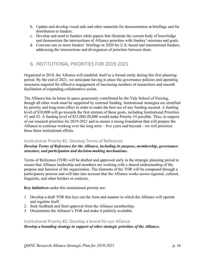- b. Update and develop visual aids and other materials for demonstration at briefings and for distribution to funders.
- c. Develop and send to funders white papers that illustrate the current body of knowledge and demonstrate the intersections of Alliance priorities with funders' missions and goals.
- d. Convene one or more funders' briefings in 2020 for U.S.-based and international funders, addressing the intersections and divergences of priorities between them.

### 6. INSTITUTIONAL PRIORITIES FOR 2019-2021

Organized in 2018, the Alliance will establish itself as a formal entity during this first planning period. By the end of 2021, we anticipate having in place the governance policies and operating structures required for effective engagement of increasing numbers of researchers and smooth facilitation of expanding collaborative action.

The Alliance has its home in space generously contributed by the Yale School of Nursing, though all other work must be supported by external funding. Institutional strategies are stratified by priority and long-term effect in order to make the best use of any funding secured. A funding level of \$10,000 will go towards the first stratum of these goals, including Institutional Priorities #1 and #2. A funding level of \$15,000-20,000 would make Priority #3 possible. Thus, in support of our research priorities for 2019-2021 and to ensure a strong foundation that will prepare the Alliance to continue working over the long term – five years and beyond – we will prioritize these three institutional efforts.

#### Institutional Priority #1: Develop Terms of Reference

#### *Develop Terms of Reference for the Alliance, including its purpose, membership, governance structure, and participation and decision-making mechanisms.*

Terms of Reference (TOR) will be drafted and approved early in the strategic planning period to ensure that Alliance leadership and members are working with a shared understanding of the purpose and function of the organization. The elements of the TOR will be composed through a participatory process and will take into account that the Alliance works across regional, cultural, linguistic, and other borders or contexts.

**Key initiatives** under this institutional priority are:

- 1. Develop a draft TOR that lays out the form and manner in which the Alliance will operate and regulate itself.
- 2. Seek feedback and final approval from the Alliance membership.
- 3. Disseminate the Alliance's TOR and make it publicly available.

#### Institutional Priority #2: Develop a brand for our Alliance

*Develop a branding strategy in support of other strategic priorities of the Alliance.*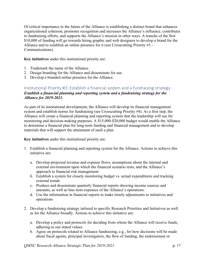Of critical importance to the future of the Alliance is establishing a distinct brand that enhances organizational cohesion, promotes recognition and increases the Alliance's influence, contributes to fundraising efforts, and supports the Alliance's mission in other ways. A tranche of the first \$10,000 of funding will go towards hiring graphic and web designers to develop a brand for the Alliance and to establish an online presence for it (see Crosscutting Priority #3 – Communications).

**Key initiatives** under this institutional priority are:

- 1. Trademark the name of the Alliance.
- 2. Design branding for the Alliance and disseminate for use.
- 3. Develop a branded online presence for the Alliance.

#### Institutional Priority #3: Establish a financial system and a fundraising strategy *Establish a financial planning and reporting system and a fundraising strategy for the Alliance for 2019-2021.*

As part of its institutional development, the Alliance will develop its financial management system and establish norms for fundraising (see Crosscutting Priority #4). As a first step, the Alliance will create a financial planning and reporting system that the leadership will use for monitoring and decision-making purposes. A \$15,000-\$20,000 budget would enable the Alliance to determine a financial plan for long-term funding and financial management and to develop materials that will support the attainment of such a plan.

**Key initiatives** under this institutional priority are:

- 1. Establish a financial planning and reporting system for the Alliance. Actions to achieve this initiative are:
	- a. Develop projected revenue and expense flows, assumptions about the internal and external environment upon which the financial scenario rests, and the Alliance's approach to financial risk management
	- b. Establish a system for closely monitoring budget vs. actual expenditures and tracking external trends
	- c. Produce and disseminate quarterly financial reports showing income sources and amounts, as well as line-item expenses of the Alliance's operations.
	- d. Use the information in financial reports to make timely adjustments to initiatives and operations
- 2. Develop a fundraising strategy tailored to specific Research Priorities and Initiatives as well as for the Alliance broadly. Actions to achieve this initiative are:
	- a. Develop a policy and protocols for deciding from whom the Alliance will receive funds, adhering to our stated values.
	- b. Agree on protocols related to Alliance fundraising, e.g., for how decisions will be made about fiscal agents, principal investigators, the flow of funding, the endorsement or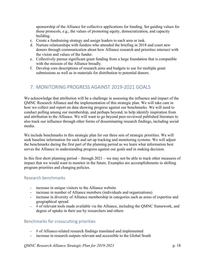sponsorship of the Alliance for collective applications for funding. Set guiding values for those protocols, e.g., the values of promoting equity, democratization, and capacity building.

- c. Create a fundraising strategy and assign leaders to each area or task.
- d. Nurture relationships with funders who attended the briefing in 2018 and court new donors through communication about how Alliance research and priorities intersect with the vision and values of the funder.
- e. Collectively pursue significant grant funding from a large foundation that is compatible with the mission of the Alliance broadly.
- f. Develop core descriptions of research aims and budgets to use for multiple grant submissions as well as in materials for distribution to potential donors.

## 7. MONITORING PROGRESS AGAINST 2019-2021 GOALS

We acknowledge that attribution will be a challenge in assessing the influence and impact of the QMNC Research Alliance and the implementation of this strategic plan. We will take care in how we collect and report on data showing progress against our benchmarks. We will need to conduct polling among our membership, and perhaps beyond, to help identify inspiration from and attribution to the Alliance. We will want to go beyond peer-reviewed published literature to also track our influence through other forms of disseminating research findings, including social media.

We include benchmarks in this strategic plan for our three sets of strategic priorities. We will seek baseline information for each and set up tracking and monitoring systems. We will adjust the benchmarks during the first part of the planning period as we learn what information best serves the Alliance in understanding progress against our goals and in making decision.

In this first short planning period – through 2021 – we may not be able to track other measures of impact that we would want to monitor in the future. Examples are accomplishments in shifting program priorities and changing policies.

#### Research benchmarks

- increase in unique visitors to the Alliance website
- increase in number of Alliance members (individuals and organizations)
- increase in diversity of Alliance membership in categories such as areas of expertise and geographical spread
- # of relevant tools made available via the Alliance, including the QMNC framework, and degree of uptake in their use by researchers and others

#### Benchmarks for crosscutting priorities

- # of Alliance-related research findings translated and implemented
- increase in research outputs relevant and accessible to the Global South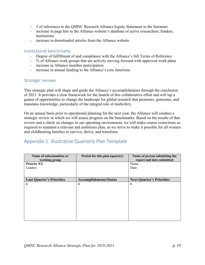- # of references to the QMNC Research Alliance Equity Statement in the literature
- increase in page hits in the Alliance website's database of active researchers, funders, institutions
- increase in downloaded articles from the Alliance website

#### Institutional benchmarks

- Degree of fulfillment of and compliance with the Alliance's full Terms of Reference
- % of Alliance work groups that are actively moving forward with approved work plans
- increase in Alliance member participation
- increase in annual funding to the Alliance's core functions

#### Strategic reviews

This strategic plan will shape and guide the Alliance's accomplishments through the conclusion of 2021. It provides a clear framework for the launch of this collaborative effort and will tap a gamut of opportunities to change the landscape for global research that promotes, generates, and translates knowledge, particularly of the integral role of midwifery.

On an annual basis prior to operational planning for the next year, the Alliance will conduct a strategic review in which we will assess progress on the benchmarks. Based on the results of that review and a check on changes in our operating environment, we will make course corrections as required to maintain a relevant and ambitious plan, as we strive to make it possible for all women and childbearing families to survive, thrive, and transform.

# Appendix 1. Illustrative Quarterly Plan Template

| Name of subcommittee or<br>working group | Period for this plan (quarter) | Name of person submitting the<br>report and date submitted |
|------------------------------------------|--------------------------------|------------------------------------------------------------|
| <b>Priority XX</b>                       |                                | Name:                                                      |
| Leaders:                                 |                                | Date:                                                      |
|                                          |                                |                                                            |
| <b>Last Quarter's Priorities</b>         | <b>Accomplishments/Status</b>  | <b>Next Quarter's Priorities</b>                           |
|                                          | $\bullet$                      |                                                            |
|                                          |                                |                                                            |
|                                          |                                |                                                            |
|                                          |                                |                                                            |
|                                          |                                |                                                            |
|                                          |                                |                                                            |
|                                          |                                |                                                            |
|                                          |                                |                                                            |
|                                          |                                |                                                            |